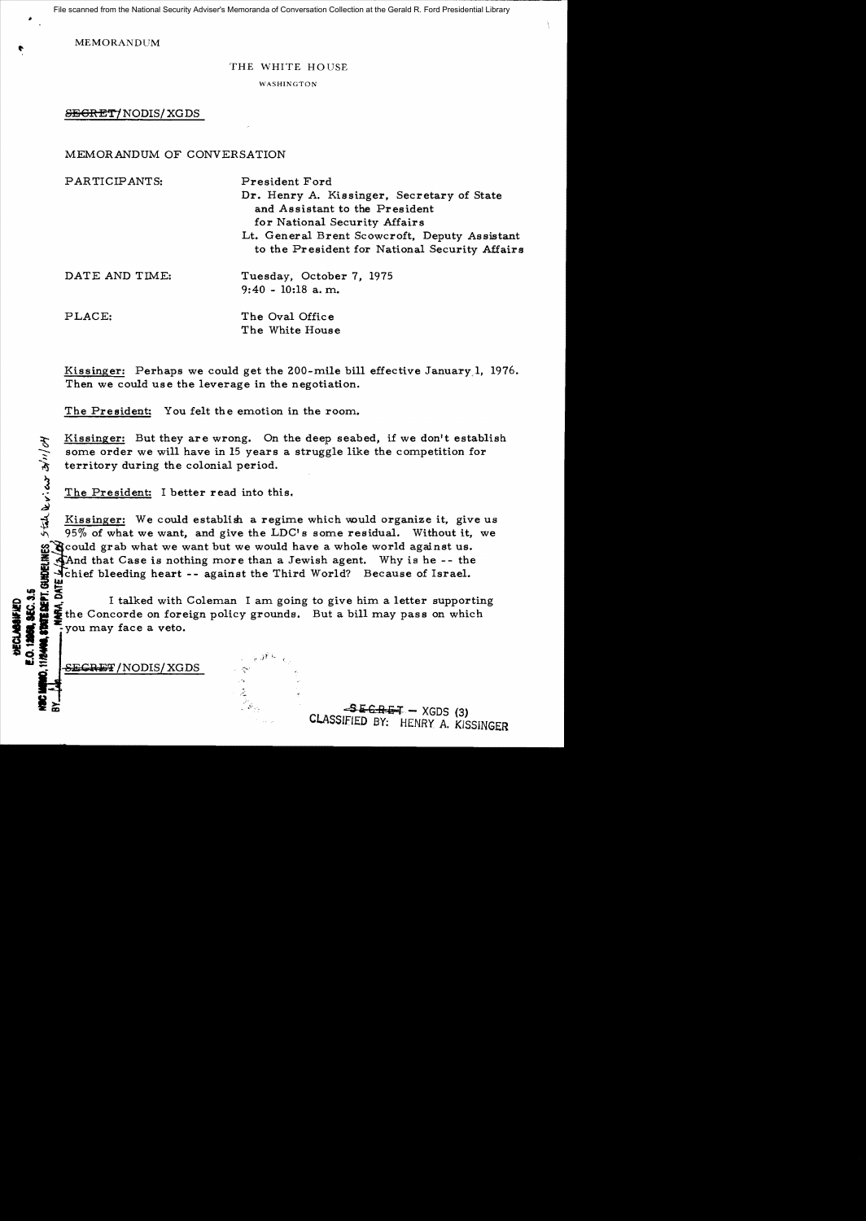File scanned from the National Security Adviser's Memoranda of Conversation Collection at the Gerald R. Ford Presidential Library

MEMORANDUM

### THE WHITE HOUSE

WASHINGTON

SEGRET/NODIS/XGDS

## MEMORANDUM OF CONVERSATION

| PARTICIPANTS:  | President Ford<br>Dr. Henry A. Kissinger, Secretary of State<br>and Assistant to the President<br>for National Security Affairs<br>Lt. General Brent Scowcroft, Deputy Assistant<br>to the President for National Security Affairs |
|----------------|------------------------------------------------------------------------------------------------------------------------------------------------------------------------------------------------------------------------------------|
| DATE AND TIME: | Tuesday, October 7, 1975<br>$9:40 - 10:18$ a.m.                                                                                                                                                                                    |
| PLACE:         | The Oval Office<br>The White House                                                                                                                                                                                                 |

Kissinger: Perhaps we could get the 200-mile bill effective January 1, 1976. Then we could use the leverage in the negotiation.

The President: You felt the emotion in the room.

~~ Kissinger: But they are wrong. On the deep seabed, if we don't establish some order we will have in 15 years a struggle like the competition for territory during the colonial period.

The President: I better read into this.

~ Kissinger: We could establish a regime which would organize it, give us  $95\%$  of what we want, and give the LDC's some residual. Without it, we goould grab what we want but we would have a whole world against us.<br>
And that Case is nothing more than a Jewish agent. Why is he -- the<br>
dichtered beeding heart -- against the Third World? Because of Israel.<br>
Let the Con And that Case is nothing more than a Jewish agent. Why is he -- the I chief bleeding heart -- against the Third World? Because of Israel.

**BEC. 3.5**<br>TEREPT. GUN<br>MARA, DATE J I talked with Coleman I am going to give him a letter supporting the Concorde on foreign policy grounds. But a bill may pass on which you may face a veto.

> $\mathbb{R}^2$  $\tilde{\mathcal{L}}$ المناسبة<br>مناسبة<br>مناسبة

 $\frac{1}{\sqrt{2}}$  . SECRET/NODIS/XGDS  $\frac{1}{\sqrt{2}}$ 

 $z$ --

v: cur

**DECLABATE** 

ن<br>آنا

 $-$ **SECRET** - XGDS (3) CLASSIfIED *BY:* HENRY A. KISSINGER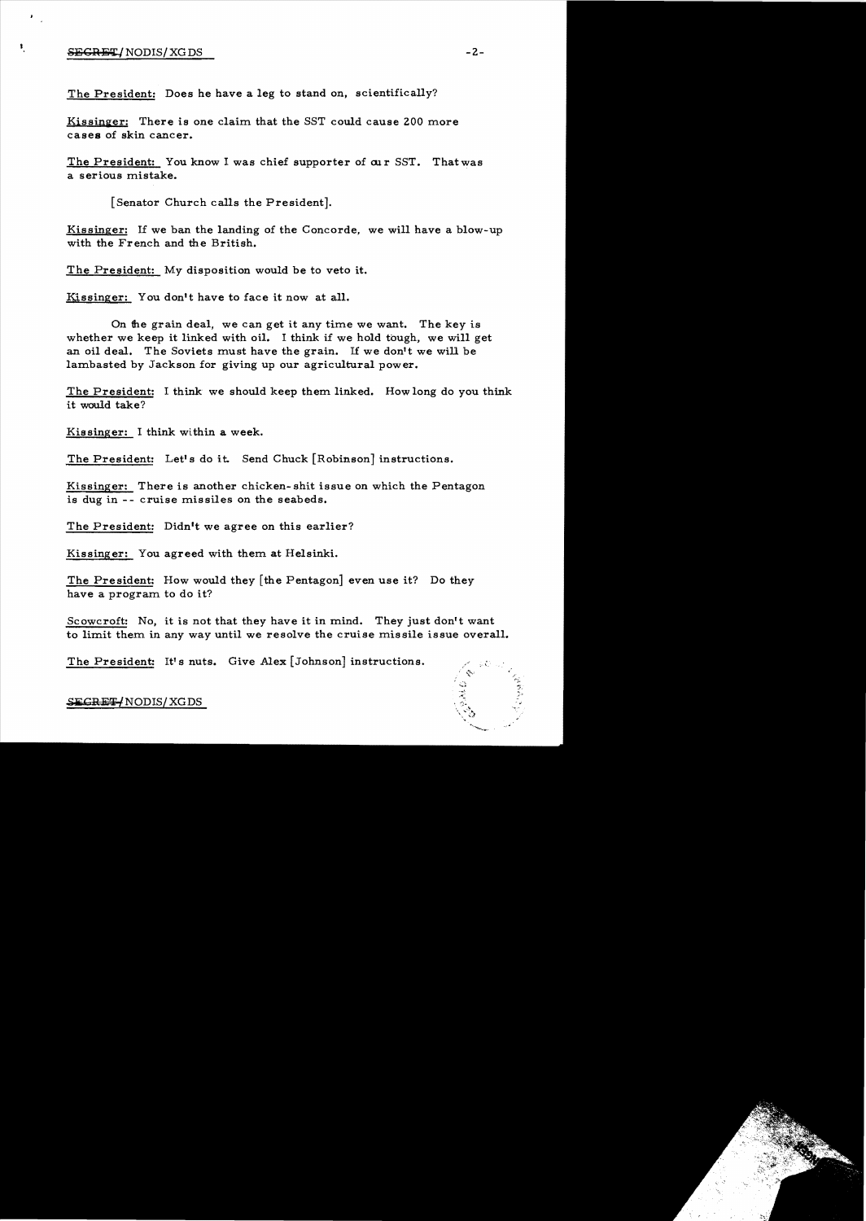### $SEGRET/ NODIS/ XGDS$  -2-

 $\mathcal{F}_{\mathcal{A},\mathcal{A}}$ 

 $\pmb{\mathfrak{r}}$ 

The President: Does he have a leg to stand on, scientifically?

Kissinger: There is one claim that the SST could cause 200 more cases of skin cancer.

The President: You know I was chief supporter of our SST. That was a serious mistake.

[Senator Church calls the President].

Kissinger: If we ban the landing of the Concorde, we will have a blow-up with the French and the British.

The President: My disposition would be to veto it.

Kissinger: You don't have to face it now at all.

On the grain deal, we can get it any time we want. The key is whether we keep it linked with oil. I think if we hold tough, we will get an oil deal. The Soviets must have the grain. If we don't we will be lambasted by Jackson for giving up our agricultural power.

The President: I think we should keep them linked. How long do you think it would take?

Kissinger: I think within a week.

The President: Let's do it. Send Chuck [Robinson] instructions.

Kissinger: There is another chicken-shit issue on which the Pentagon is dug in -- cruise missiles on the seabeds.

The President: Didn't we agree on this earlier?

Kissinger: You agreed with them at Helsinki.

The President: How would they [the Pentagon] even use it? Do they have a program to do it?

Scowcroft: No, it is not that they have it in mind. They just don't want to limit them in any way until we resolve the cruise missile issue overall.

The President: It's nuts. Give Alex [Johnson] instructions.



#### SEGRET/NODIS/XGDS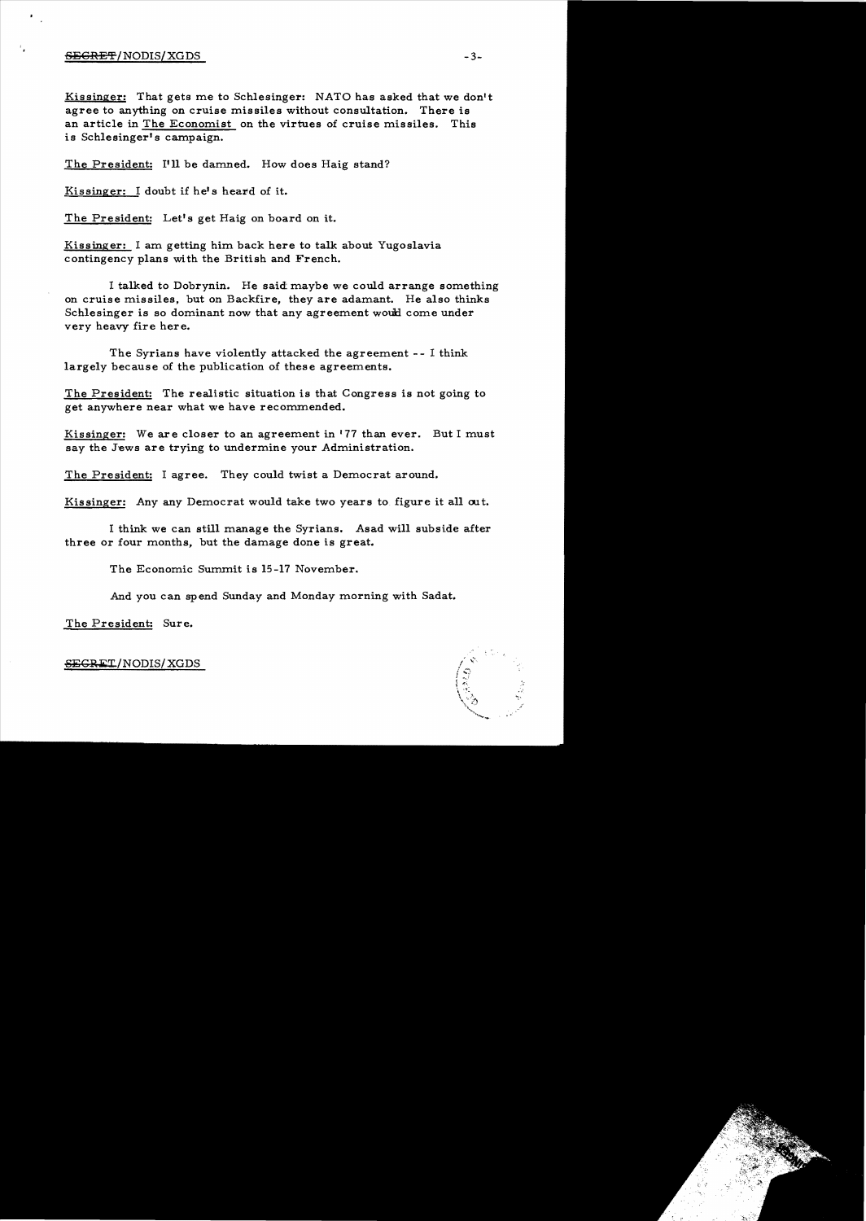#### $\overline{\text{SEGREF}}$  / NODIS/ XGDS  $^{-3-}$

Kissinger: That gets me to Schlesinger: NATO has asked that we don't agree to anything on cruise missiles without consultation. There is an article in The Economist on the virtues of cruise missiles. This is Schlesinger's campaign.

The President: I'll be damned. How does Haig stand?

Kissinger: I doubt if he's heard of it.

The President: Let's get Haig on board on it.

Kissinger: I am getting him back here to talk about Yugoslavia contingency plans with the British and French.

I talked to Dobrynin. He said: maybe we could arrange something on cruise missiles, but on Backfire, they are adamant. He also thinks Schlesinger is so dominant now that any agreement would come under very heavy fire here.

The Syrians have violently attacked the agreement -- I think largely because of the publication of these agreements.

The President: The realistic situation is that Congress is not going to get anywhere near what we have recommended.

Kissinger: We are closer to an agreement in  $'77$  than ever. But I must say the Jews are trying to undermine your Administration.

The President: I agree. They could twist a Democrat around.

Kissinger: Any any Democrat would take two years to figure it all out.

I think we can still manage the Syrians. Asad will subside after three or four months, but the damage done is great.

The Economic Summit is 15-17 November.

And you can spend Sunday and Monday morning with Sadat.

The President: Sure.



#### SEGRET/NODIS/XGDS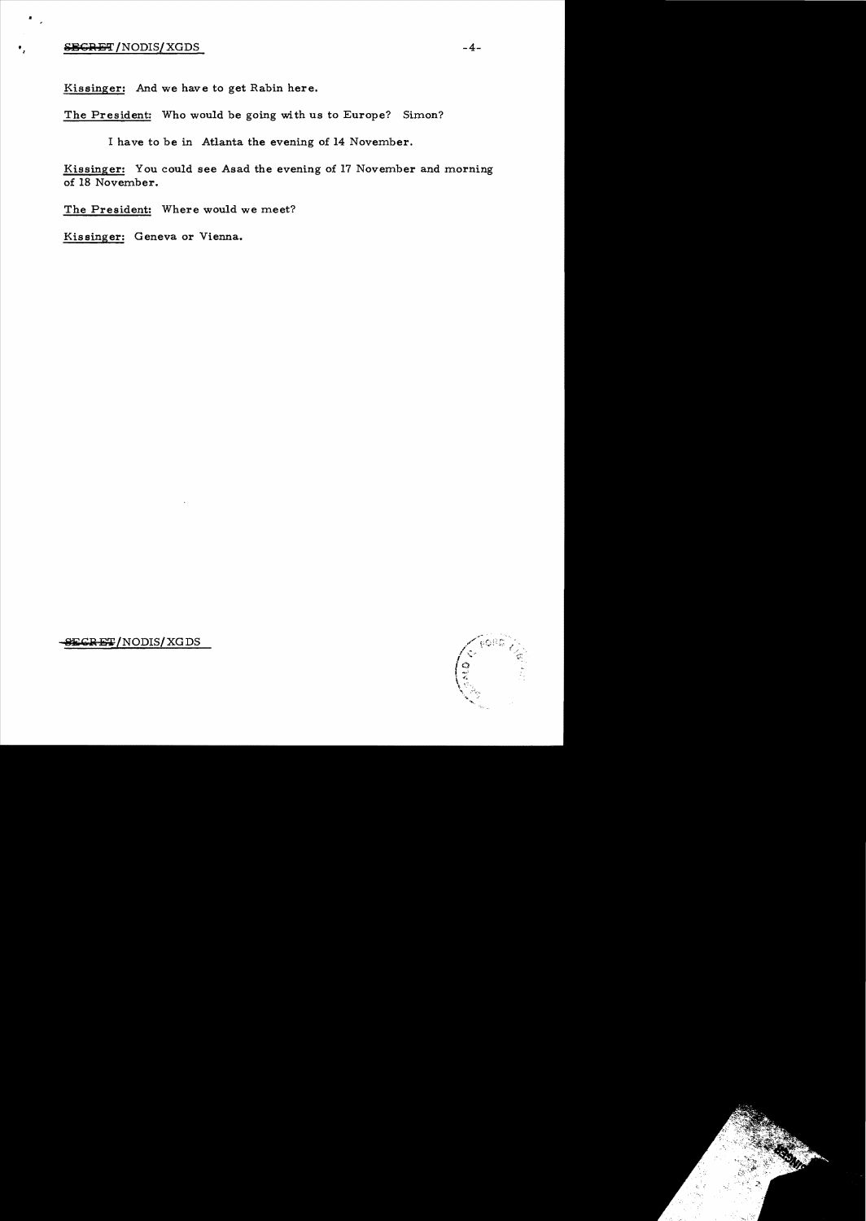# **SECRET/NODIS/XGDS**

 $\blacksquare$ 

Kissinger: And we have to get Rabin here.

The President: Who would be going with us to Europe? Simon?

I have to be in Atlanta the evening of 14 November.

Kissinger: You could see Asad the evening of 17 November and morning of 18 November.

The President: Where would we meet?

Kissinger: Geneva or Vienna.



SECRET/NODIS/XGDS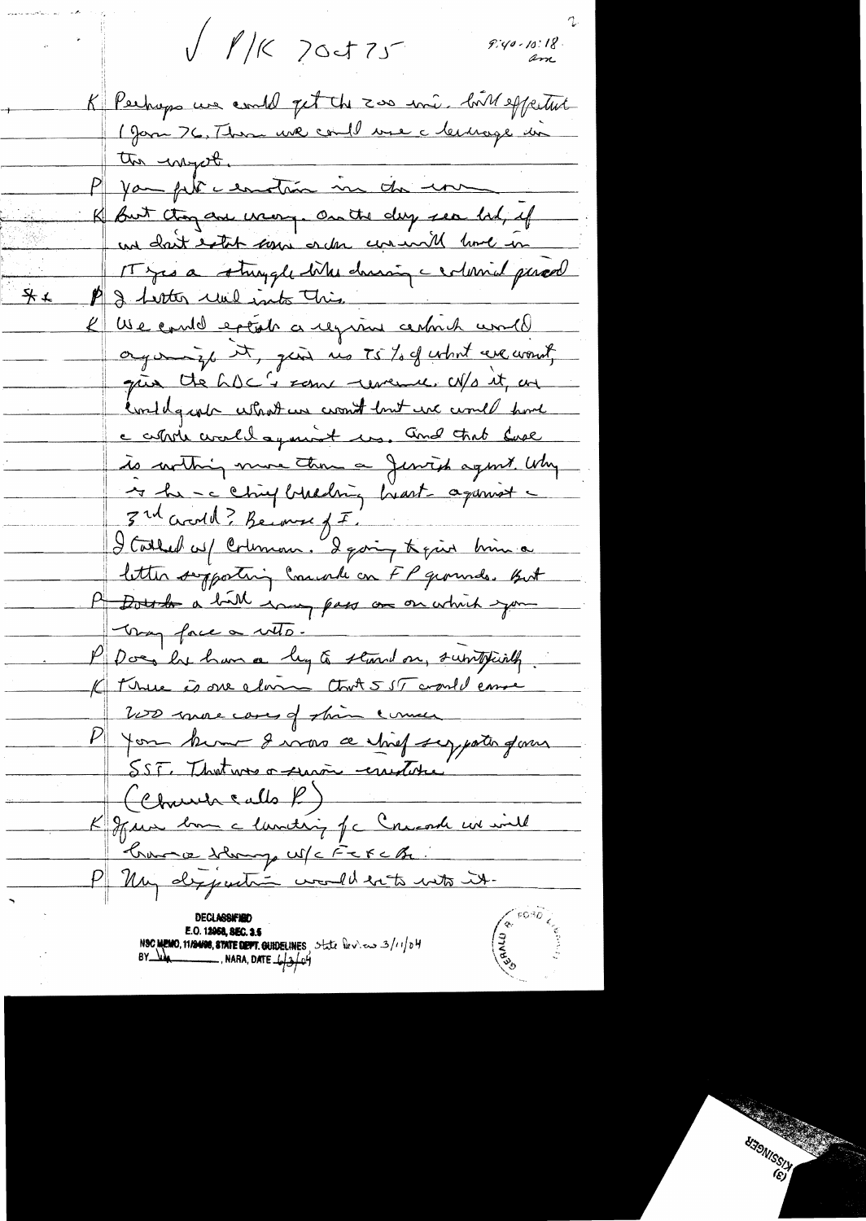$\sqrt{1/5}$  20475  $9.40 - 10.18$ am K Pechaps une could get the zoo ini. bit effectut 1 Jan 76, Than une coul une clemage un P you plice entran in du une K but thou are warry. On the day see lad, if un dait estat som order commit lime in IT yes a struggle bites charing a column parcel  $7*$ I fronter une into This We could extal a region central world  $\mathcal{L}_{+}$ organize it, just no TS % of what we want gue the hDC's some unemer w/s it, an conditional what we won't lost income home c cettere circula agenciat un. And that lase de curthing more than a Jensich agent. Why 4 hr - c chief breching heart agament -3 rd acroll ? Become f I I Collect us/ Coleman. I going to give him a letter supporting Commente on FP grounds. But P Dots de a bill essay pass au on which you Very face a veto. P Does le han a leg à stand on, suritainly. K terme à me clair Ctrot 555 complemme 200 more cases of shine comme P you know I was a shief sypath form SST. That was a survive constate (Charles Calls P) K June bom a lancting of a Concorde we will Krance Hang USCFEFEBL. P My departie would be to with it. **E.O. 12058, REC. 3.5** NSC MEMO, 11/24/08, STATE DEPT. GUIDELINES, State  $\frac{1}{2}$   $\frac{1}{2}$   $\frac{1}{2}$   $\frac{1}{2}$   $\frac{1}{2}$   $\frac{1}{2}$   $\frac{1}{2}$   $\frac{1}{2}$   $\frac{1}{2}$   $\frac{1}{2}$   $\frac{1}{2}$   $\frac{1}{2}$   $\frac{1}{2}$   $\frac{1}{2}$   $\frac{1}{2}$   $\frac{1}{2}$   $\frac{1}{2}$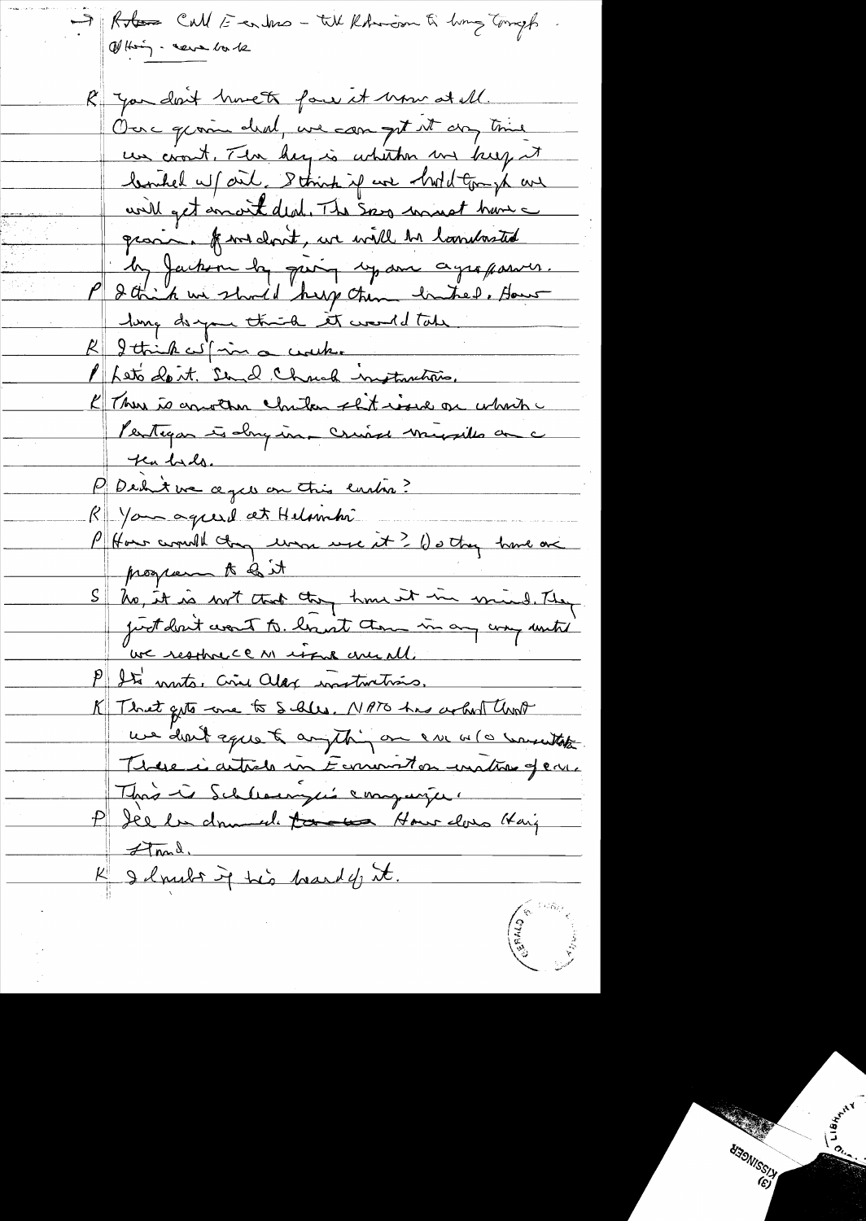Roton Call E en tras - till Rohmson til hvor Tomp Of their - cera la 12 R you don't have to four it home at all. Our grown deal, we can get it any time un cront, The hey is whither us keep it bouhed w/ out, Strink if we had tomph are will get anoit deal. The say must have graving from don't, we will be landasted les Jackson la quin 17 avr agrafaire. long despare think it would take  $\mathcal{R} \Vert$ I think with a work. Kets dont. Sund Chrish instruction. K There is converse chilon sht work on which Pentigar à dry in criere musille a c Kubals. P Dehit we ages on this early? R\van agreed at Helambi P How comment change were it? () of they have one program to be it No, it is not that they have it in mind. They just don't want to locat them in any usefunts we resthree en issue are all. P Ste monts. Civil along instructions. K That gets are to Salls. NATO has acked the we don't equal anything on one alo warentake Télue i article un Eurement en unetre gene This is Schleaunges companier P Jee la dramede to de Hour dons Kaiz  $\n *d*$  mad K I lands ig his beard of it.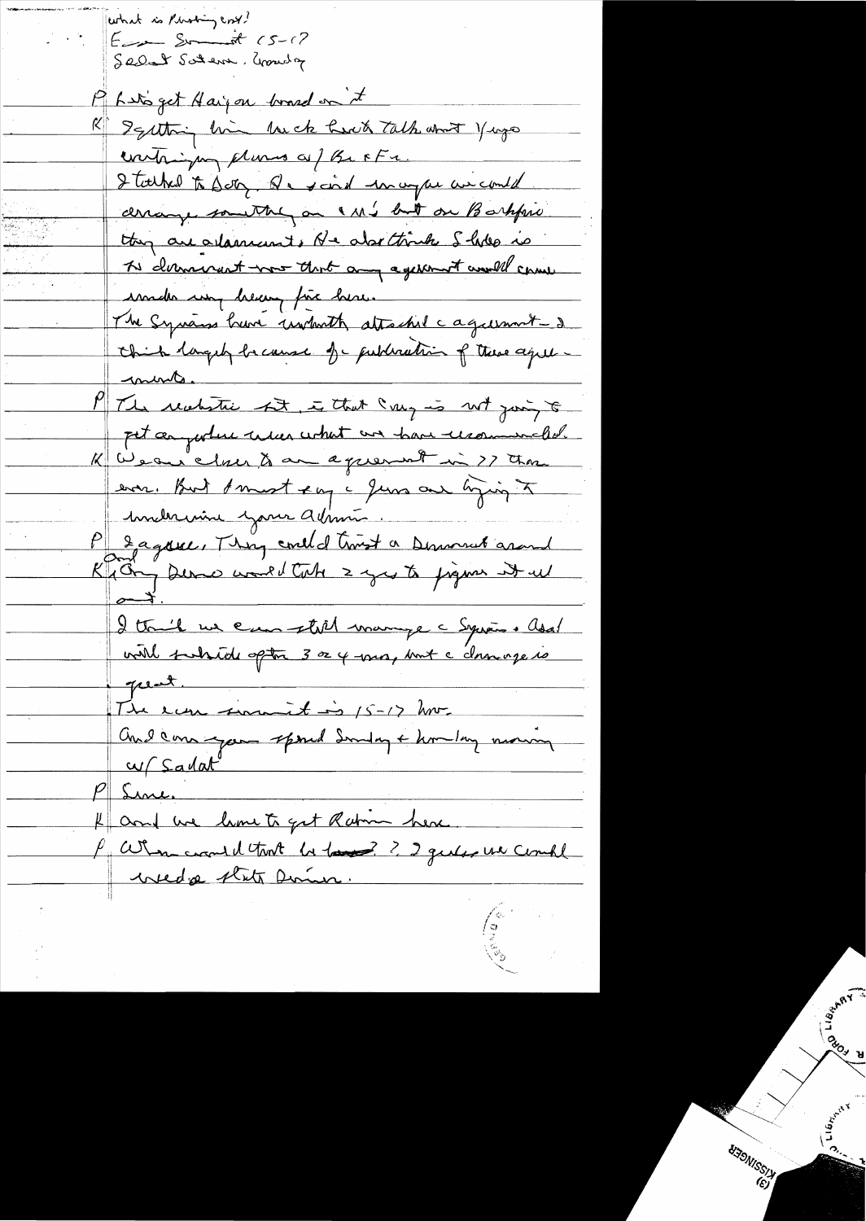what is Photon cost?  $E$  and  $S - 12$ Selat Satem . Growly Mars get Haijou brand on it R Igatting him be had talk and yago contriguing plumes af BeFFE. I talked to Soty. Que said unagar au could derange something on a M's but on Barkfrie they are alament. He also think I holes is To demandant was that any agenerat would can inde in heavy fix here. The Syrians have unboth attached cagainment - 2 chick largely because of publication of these agreemente. M/The realistic bit, is that say is not joing to pet anywhere under what are have recommended. K Wear clair & an agreement in 27 three ever. But Amest eag a June our hijing to <u>Immelia inime admin.</u> P 2 agance, They could trust a Demond around I think we can still mange a Syrian. Add.<br>with subside often 3 or 4 ma, mut a chanoge is pent. The economistics 15-12 hours and come your spond Sunday + kom long moning <u>w/Sadat</u> Sine. and we lime to get Ration here. P When could trut be to 2? 2 gentles un could wedge state Dome